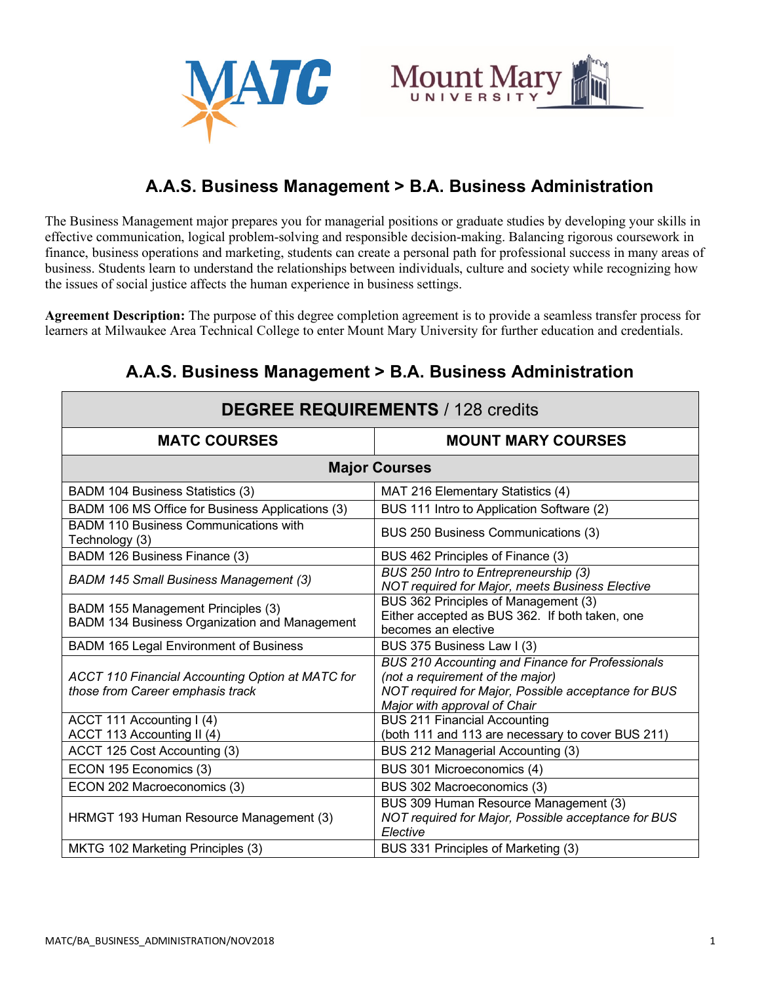



# **A.A.S. Business Management > B.A. Business Administration**

The Business Management major prepares you for managerial positions or graduate studies by developing your skills in effective communication, logical problem-solving and responsible decision-making. Balancing rigorous coursework in finance, business operations and marketing, students can create a personal path for professional success in many areas of business. Students learn to understand the relationships between individuals, culture and society while recognizing how the issues of social justice affects the human experience in business settings.

**Agreement Description:** The purpose of this degree completion agreement is to provide a seamless transfer process for learners at Milwaukee Area Technical College to enter Mount Mary University for further education and credentials.

| <b>DEGREE REQUIREMENTS / 128 credits</b>                                                    |                                                                                                                                                                                    |  |
|---------------------------------------------------------------------------------------------|------------------------------------------------------------------------------------------------------------------------------------------------------------------------------------|--|
| <b>MATC COURSES</b>                                                                         | <b>MOUNT MARY COURSES</b>                                                                                                                                                          |  |
| <b>Major Courses</b>                                                                        |                                                                                                                                                                                    |  |
| <b>BADM 104 Business Statistics (3)</b>                                                     | MAT 216 Elementary Statistics (4)                                                                                                                                                  |  |
| BADM 106 MS Office for Business Applications (3)                                            | BUS 111 Intro to Application Software (2)                                                                                                                                          |  |
| <b>BADM 110 Business Communications with</b><br>Technology (3)                              | BUS 250 Business Communications (3)                                                                                                                                                |  |
| BADM 126 Business Finance (3)                                                               | BUS 462 Principles of Finance (3)                                                                                                                                                  |  |
| <b>BADM 145 Small Business Management (3)</b>                                               | BUS 250 Intro to Entrepreneurship (3)<br>NOT required for Major, meets Business Elective                                                                                           |  |
| BADM 155 Management Principles (3)<br>BADM 134 Business Organization and Management         | BUS 362 Principles of Management (3)<br>Either accepted as BUS 362. If both taken, one<br>becomes an elective                                                                      |  |
| BADM 165 Legal Environment of Business                                                      | BUS 375 Business Law I (3)                                                                                                                                                         |  |
| <b>ACCT 110 Financial Accounting Option at MATC for</b><br>those from Career emphasis track | <b>BUS 210 Accounting and Finance for Professionals</b><br>(not a requirement of the major)<br>NOT required for Major, Possible acceptance for BUS<br>Major with approval of Chair |  |
| ACCT 111 Accounting I (4)<br>ACCT 113 Accounting II (4)                                     | <b>BUS 211 Financial Accounting</b><br>(both 111 and 113 are necessary to cover BUS 211)                                                                                           |  |
| ACCT 125 Cost Accounting (3)                                                                | BUS 212 Managerial Accounting (3)                                                                                                                                                  |  |
| ECON 195 Economics (3)                                                                      | BUS 301 Microeconomics (4)                                                                                                                                                         |  |
| ECON 202 Macroeconomics (3)                                                                 | BUS 302 Macroeconomics (3)                                                                                                                                                         |  |
| HRMGT 193 Human Resource Management (3)                                                     | BUS 309 Human Resource Management (3)<br>NOT required for Major, Possible acceptance for BUS<br>Elective                                                                           |  |
| MKTG 102 Marketing Principles (3)                                                           | BUS 331 Principles of Marketing (3)                                                                                                                                                |  |

## **A.A.S. Business Management > B.A. Business Administration**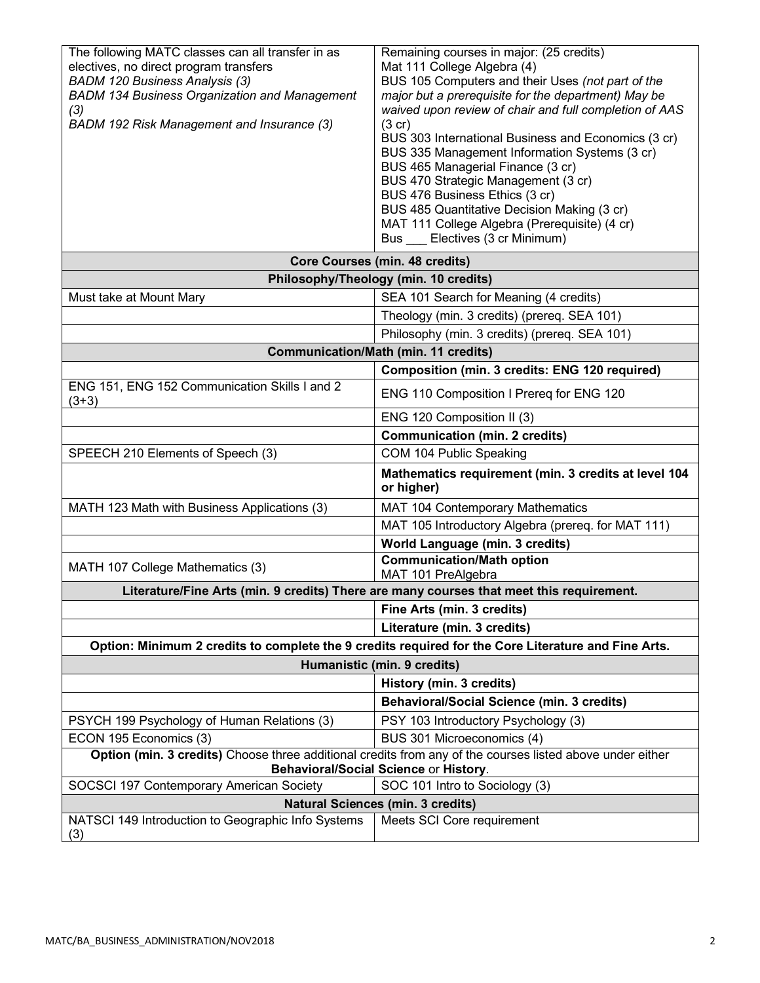| The following MATC classes can all transfer in as<br>electives, no direct program transfers<br><b>BADM 120 Business Analysis (3)</b><br><b>BADM 134 Business Organization and Management</b><br>(3)<br>BADM 192 Risk Management and Insurance (3) | Remaining courses in major: (25 credits)<br>Mat 111 College Algebra (4)<br>BUS 105 Computers and their Uses (not part of the<br>major but a prerequisite for the department) May be<br>waived upon review of chair and full completion of AAS<br>(3 cr)<br>BUS 303 International Business and Economics (3 cr)<br>BUS 335 Management Information Systems (3 cr)<br>BUS 465 Managerial Finance (3 cr)<br>BUS 470 Strategic Management (3 cr)<br>BUS 476 Business Ethics (3 cr)<br>BUS 485 Quantitative Decision Making (3 cr)<br>MAT 111 College Algebra (Prerequisite) (4 cr) |  |
|---------------------------------------------------------------------------------------------------------------------------------------------------------------------------------------------------------------------------------------------------|-------------------------------------------------------------------------------------------------------------------------------------------------------------------------------------------------------------------------------------------------------------------------------------------------------------------------------------------------------------------------------------------------------------------------------------------------------------------------------------------------------------------------------------------------------------------------------|--|
|                                                                                                                                                                                                                                                   | Bus Electives (3 cr Minimum)                                                                                                                                                                                                                                                                                                                                                                                                                                                                                                                                                  |  |
| <b>Core Courses (min. 48 credits)</b><br>Philosophy/Theology (min. 10 credits)                                                                                                                                                                    |                                                                                                                                                                                                                                                                                                                                                                                                                                                                                                                                                                               |  |
| Must take at Mount Mary                                                                                                                                                                                                                           | SEA 101 Search for Meaning (4 credits)                                                                                                                                                                                                                                                                                                                                                                                                                                                                                                                                        |  |
|                                                                                                                                                                                                                                                   | Theology (min. 3 credits) (prereq. SEA 101)                                                                                                                                                                                                                                                                                                                                                                                                                                                                                                                                   |  |
|                                                                                                                                                                                                                                                   | Philosophy (min. 3 credits) (prereq. SEA 101)                                                                                                                                                                                                                                                                                                                                                                                                                                                                                                                                 |  |
|                                                                                                                                                                                                                                                   | <b>Communication/Math (min. 11 credits)</b>                                                                                                                                                                                                                                                                                                                                                                                                                                                                                                                                   |  |
|                                                                                                                                                                                                                                                   | Composition (min. 3 credits: ENG 120 required)                                                                                                                                                                                                                                                                                                                                                                                                                                                                                                                                |  |
| ENG 151, ENG 152 Communication Skills I and 2<br>$(3+3)$                                                                                                                                                                                          | ENG 110 Composition I Prereq for ENG 120                                                                                                                                                                                                                                                                                                                                                                                                                                                                                                                                      |  |
|                                                                                                                                                                                                                                                   | ENG 120 Composition II (3)                                                                                                                                                                                                                                                                                                                                                                                                                                                                                                                                                    |  |
|                                                                                                                                                                                                                                                   | <b>Communication (min. 2 credits)</b>                                                                                                                                                                                                                                                                                                                                                                                                                                                                                                                                         |  |
| SPEECH 210 Elements of Speech (3)                                                                                                                                                                                                                 | COM 104 Public Speaking                                                                                                                                                                                                                                                                                                                                                                                                                                                                                                                                                       |  |
|                                                                                                                                                                                                                                                   | Mathematics requirement (min. 3 credits at level 104<br>or higher)                                                                                                                                                                                                                                                                                                                                                                                                                                                                                                            |  |
| MATH 123 Math with Business Applications (3)                                                                                                                                                                                                      | MAT 104 Contemporary Mathematics                                                                                                                                                                                                                                                                                                                                                                                                                                                                                                                                              |  |
|                                                                                                                                                                                                                                                   | MAT 105 Introductory Algebra (prereq. for MAT 111)                                                                                                                                                                                                                                                                                                                                                                                                                                                                                                                            |  |
|                                                                                                                                                                                                                                                   | <b>World Language (min. 3 credits)</b>                                                                                                                                                                                                                                                                                                                                                                                                                                                                                                                                        |  |
| MATH 107 College Mathematics (3)                                                                                                                                                                                                                  | <b>Communication/Math option</b><br>MAT 101 PreAlgebra                                                                                                                                                                                                                                                                                                                                                                                                                                                                                                                        |  |
| Literature/Fine Arts (min. 9 credits) There are many courses that meet this requirement.                                                                                                                                                          |                                                                                                                                                                                                                                                                                                                                                                                                                                                                                                                                                                               |  |
|                                                                                                                                                                                                                                                   | Fine Arts (min. 3 credits)                                                                                                                                                                                                                                                                                                                                                                                                                                                                                                                                                    |  |
|                                                                                                                                                                                                                                                   | Literature (min. 3 credits)                                                                                                                                                                                                                                                                                                                                                                                                                                                                                                                                                   |  |
| Option: Minimum 2 credits to complete the 9 credits required for the Core Literature and Fine Arts.                                                                                                                                               |                                                                                                                                                                                                                                                                                                                                                                                                                                                                                                                                                                               |  |
| Humanistic (min. 9 credits)                                                                                                                                                                                                                       |                                                                                                                                                                                                                                                                                                                                                                                                                                                                                                                                                                               |  |
|                                                                                                                                                                                                                                                   | History (min. 3 credits)                                                                                                                                                                                                                                                                                                                                                                                                                                                                                                                                                      |  |
|                                                                                                                                                                                                                                                   | <b>Behavioral/Social Science (min. 3 credits)</b>                                                                                                                                                                                                                                                                                                                                                                                                                                                                                                                             |  |
| PSYCH 199 Psychology of Human Relations (3)                                                                                                                                                                                                       | PSY 103 Introductory Psychology (3)                                                                                                                                                                                                                                                                                                                                                                                                                                                                                                                                           |  |
| ECON 195 Economics (3)                                                                                                                                                                                                                            | BUS 301 Microeconomics (4)                                                                                                                                                                                                                                                                                                                                                                                                                                                                                                                                                    |  |
| Option (min. 3 credits) Choose three additional credits from any of the courses listed above under either<br>Behavioral/Social Science or History.                                                                                                |                                                                                                                                                                                                                                                                                                                                                                                                                                                                                                                                                                               |  |
| SOCSCI 197 Contemporary American Society                                                                                                                                                                                                          | SOC 101 Intro to Sociology (3)                                                                                                                                                                                                                                                                                                                                                                                                                                                                                                                                                |  |
| <b>Natural Sciences (min. 3 credits)</b><br>NATSCI 149 Introduction to Geographic Info Systems                                                                                                                                                    |                                                                                                                                                                                                                                                                                                                                                                                                                                                                                                                                                                               |  |
| (3)                                                                                                                                                                                                                                               | Meets SCI Core requirement                                                                                                                                                                                                                                                                                                                                                                                                                                                                                                                                                    |  |